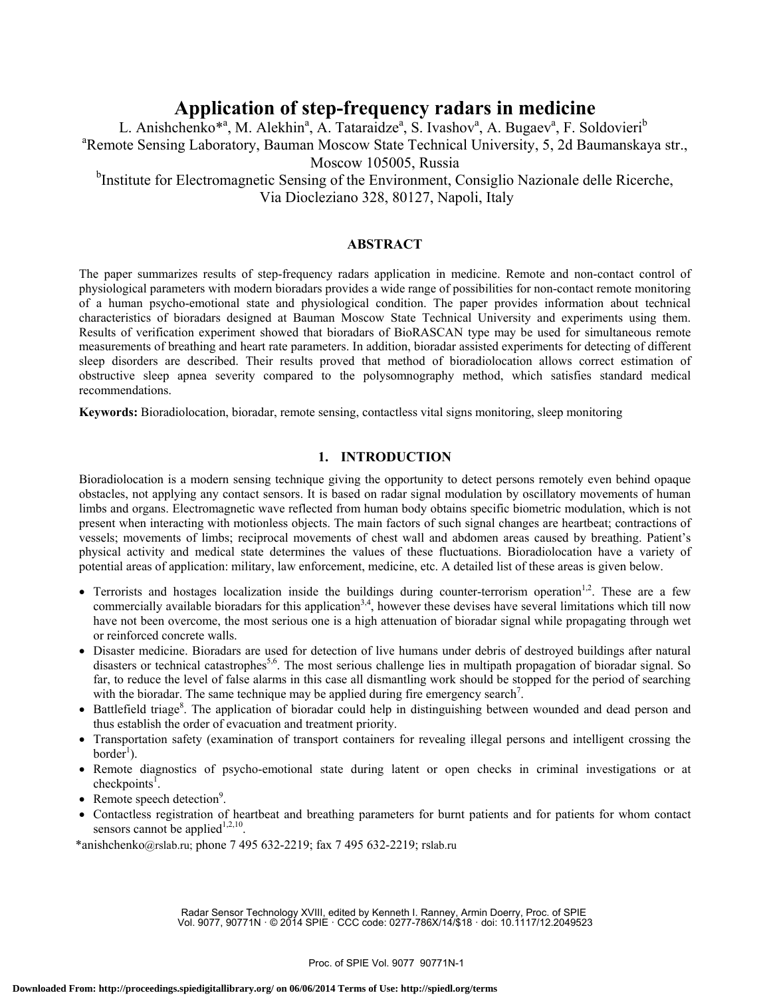# **Application of step-frequency radars in medicine**

L. Anishchenko<sup>\*a</sup>, M. Alekhin<sup>a</sup>, A. Tataraidze<sup>a</sup>, S. Ivashov<sup>a</sup>, A. Bugaev<sup>a</sup>, F. Soldovieri<sup>b</sup> a Remote Sensing Laboratory, Bauman Moscow State Technical University, 5, 2d Baumanskaya str., Moscow 105005, Russia

<sup>b</sup>Institute for Electromagnetic Sensing of the Environment, Consiglio Nazionale delle Ricerche, Via Diocleziano 328, 80127, Napoli, Italy

## **ABSTRACT**

The paper summarizes results of step-frequency radars application in medicine. Remote and non-contact control of physiological parameters with modern bioradars provides a wide range of possibilities for non-contact remote monitoring of a human psycho-emotional state and physiological condition. The paper provides information about technical characteristics of bioradars designed at Bauman Moscow State Technical University and experiments using them. Results of verification experiment showed that bioradars of BioRASCAN type may be used for simultaneous remote measurements of breathing and heart rate parameters. In addition, bioradar assisted experiments for detecting of different sleep disorders are described. Their results proved that method of bioradiolocation allows correct estimation of obstructive sleep apnea severity compared to the polysomnography method, which satisfies standard medical recommendations.

**Keywords:** Bioradiolocation, bioradar, remote sensing, contactless vital signs monitoring, sleep monitoring

# **1. INTRODUCTION**

Bioradiolocation is a modern sensing technique giving the opportunity to detect persons remotely even behind opaque obstacles, not applying any contact sensors. It is based on radar signal modulation by oscillatory movements of human limbs and organs. Electromagnetic wave reflected from human body obtains specific biometric modulation, which is not present when interacting with motionless objects. The main factors of such signal changes are heartbeat; contractions of vessels; movements of limbs; reciprocal movements of chest wall and abdomen areas caused by breathing. Patient's physical activity and medical state determines the values of these fluctuations. Bioradiolocation have a variety of potential areas of application: military, law enforcement, medicine, etc. A detailed list of these areas is given below.

- Terrorists and hostages localization inside the buildings during counter-terrorism operation<sup>1,2</sup>. These are a few commercially available bioradars for this application<sup>3,4</sup>, however these devises have several limitations which till now have not been overcome, the most serious one is a high attenuation of bioradar signal while propagating through wet or reinforced concrete walls.
- Disaster medicine. Bioradars are used for detection of live humans under debris of destroyed buildings after natural disasters or technical catastrophes<sup>5,6</sup>. The most serious challenge lies in multipath propagation of bioradar signal. So far, to reduce the level of false alarms in this case all dismantling work should be stopped for the period of searching with the bioradar. The same technique may be applied during fire emergency search<sup>7</sup>.
- Battlefield triage<sup>8</sup>. The application of bioradar could help in distinguishing between wounded and dead person and thus establish the order of evacuation and treatment priority.
- Transportation safety (examination of transport containers for revealing illegal persons and intelligent crossing the  $border<sup>1</sup>$ ).
- Remote diagnostics of psycho-emotional state during latent or open checks in criminal investigations or at checkpoints<sup> $\overline{1}$ </sup>.
- Remote speech detection<sup>9</sup>.
- Contactless registration of heartbeat and breathing parameters for burnt patients and for patients for whom contact sensors cannot be applied<sup>1,2,10</sup>.

\*anishchenko@rslab.ru; phone 7 495 632-2219; fax 7 495 632-2219; rslab.ru

Radar Sensor Technology XVIII, edited by Kenneth I. Ranney, Armin Doerry, Proc. of SPIE Vol. 9077, 90771N · © 2014 SPIE · CCC code: 0277-786X/14/\$18 · doi: 10.1117/12.2049523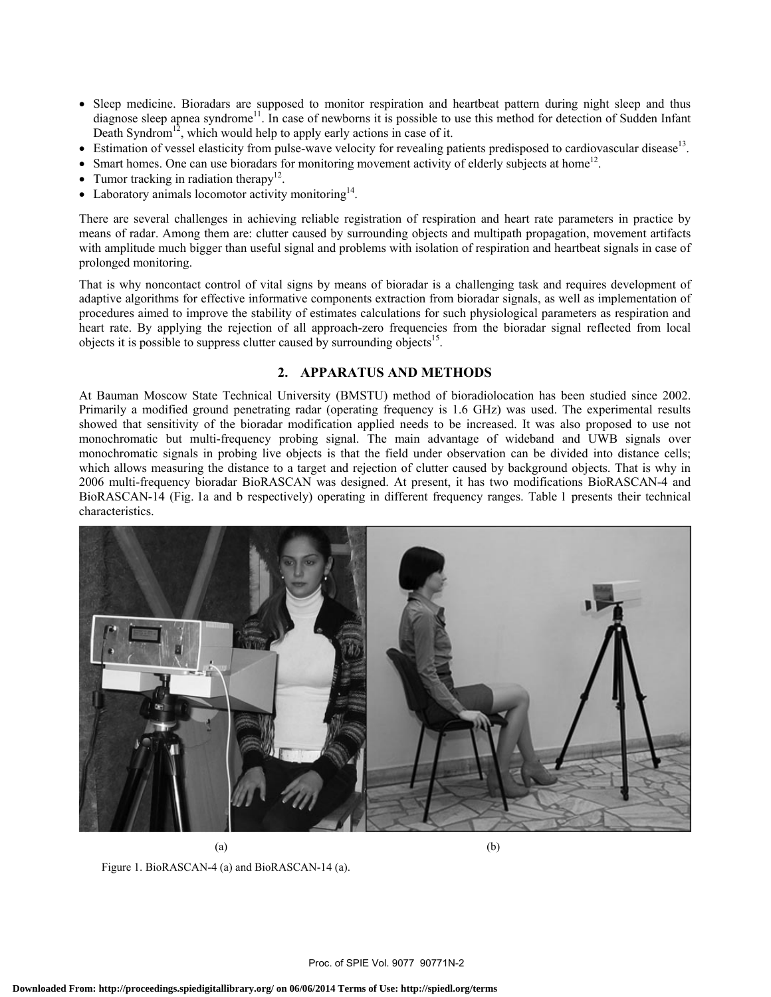- Sleep medicine. Bioradars are supposed to monitor respiration and heartbeat pattern during night sleep and thus diagnose sleep apnea syndrome<sup>11</sup>. In case of newborns it is possible to use this method for detection of Sudden Infant Death Syndrom<sup>12</sup>, which would help to apply early actions in case of it.
- Estimation of vessel elasticity from pulse-wave velocity for revealing patients predisposed to cardiovascular disease<sup>13</sup>.
- Smart homes. One can use bioradars for monitoring movement activity of elderly subjects at home<sup>12</sup>.
- Tumor tracking in radiation therapy<sup>12</sup>.
- Laboratory animals locomotor activity monitoring<sup>14</sup>.

There are several challenges in achieving reliable registration of respiration and heart rate parameters in practice by means of radar. Among them are: clutter caused by surrounding objects and multipath propagation, movement artifacts with amplitude much bigger than useful signal and problems with isolation of respiration and heartbeat signals in case of prolonged monitoring.

That is why noncontact control of vital signs by means of bioradar is a challenging task and requires development of adaptive algorithms for effective informative components extraction from bioradar signals, as well as implementation of procedures aimed to improve the stability of estimates calculations for such physiological parameters as respiration and heart rate. By applying the rejection of all approach-zero frequencies from the bioradar signal reflected from local objects it is possible to suppress clutter caused by surrounding objects<sup>15</sup>.

# **2. APPARATUS AND METHODS**

At Bauman Moscow State Technical University (BMSTU) method of bioradiolocation has been studied since 2002. Primarily a modified ground penetrating radar (operating frequency is 1.6 GHz) was used. The experimental results showed that sensitivity of the bioradar modification applied needs to be increased. It was also proposed to use not monochromatic but multi-frequency probing signal. The main advantage of wideband and UWB signals over monochromatic signals in probing live objects is that the field under observation can be divided into distance cells; which allows measuring the distance to a target and rejection of clutter caused by background objects. That is why in 2006 multi-frequency bioradar BioRASCAN was designed. At present, it has two modifications BioRASCAN-4 and BioRASCAN-14 (Fig. 1a and b respectively) operating in different frequency ranges. Table 1 presents their technical characteristics.



 $(a)$  (b) Figure 1. BioRASCAN-4 (a) and BioRASCAN-14 (a).

Proc. of SPIE Vol. 9077 90771N-2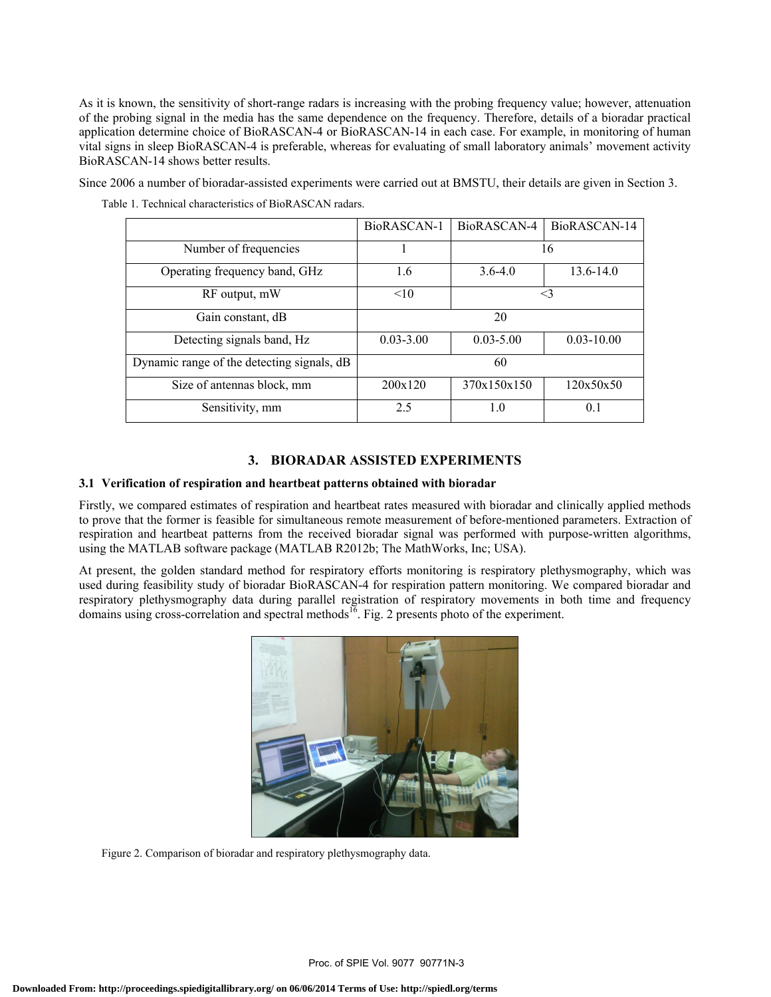As it is known, the sensitivity of short-range radars is increasing with the probing frequency value; however, attenuation of the probing signal in the media has the same dependence on the frequency. Therefore, details of a bioradar practical application determine choice of BioRASCAN-4 or BioRASCAN-14 in each case. For example, in monitoring of human vital signs in sleep BioRASCAN-4 is preferable, whereas for evaluating of small laboratory animals' movement activity BioRASCAN-14 shows better results.

Since 2006 a number of bioradar-assisted experiments were carried out at BMSTU, their details are given in Section 3.

|                                            | BioRASCAN-1   | BioRASCAN-4   | BioRASCAN-14   |
|--------------------------------------------|---------------|---------------|----------------|
| Number of frequencies                      |               | 16            |                |
| Operating frequency band, GHz              | 1.6           | $3.6 - 4.0$   | 13.6-14.0      |
| RF output, mW                              | <10           | $\leq$ 3      |                |
| Gain constant, dB                          | 20            |               |                |
| Detecting signals band, Hz                 | $0.03 - 3.00$ | $0.03 - 5.00$ | $0.03 - 10.00$ |
| Dynamic range of the detecting signals, dB | 60            |               |                |
| Size of antennas block, mm                 | 200x120       | 370x150x150   | 120x50x50      |
| Sensitivity, mm                            | 2.5           | 1.0           | 0 <sub>1</sub> |

Table 1. Technical characteristics of BioRASCAN radars.

## **3. BIORADAR ASSISTED EXPERIMENTS**

#### **3.1 Verification of respiration and heartbeat patterns obtained with bioradar**

Firstly, we compared estimates of respiration and heartbeat rates measured with bioradar and clinically applied methods to prove that the former is feasible for simultaneous remote measurement of before-mentioned parameters. Extraction of respiration and heartbeat patterns from the received bioradar signal was performed with purpose-written algorithms, using the MATLAB software package (MATLAB R2012b; The MathWorks, Inc; USA).

At present, the golden standard method for respiratory efforts monitoring is respiratory plethysmography, which was used during feasibility study of bioradar BioRASCAN-4 for respiration pattern monitoring. We compared bioradar and respiratory plethysmography data during parallel registration of respiratory movements in both time and frequency domains using cross-correlation and spectral methods<sup>16</sup>. Fig. 2 presents photo of the experiment.



Figure 2. Comparison of bioradar and respiratory plethysmography data.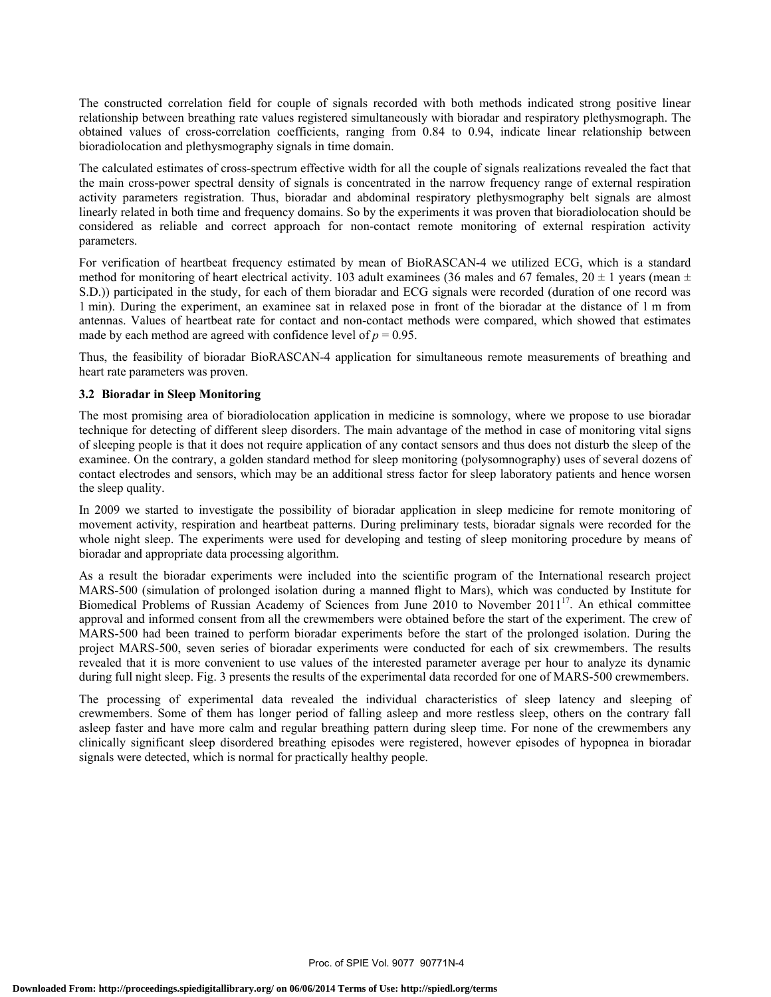The constructed correlation field for couple of signals recorded with both methods indicated strong positive linear relationship between breathing rate values registered simultaneously with bioradar and respiratory plethysmograph. The obtained values of cross-correlation coefficients, ranging from 0.84 to 0.94, indicate linear relationship between bioradiolocation and plethysmography signals in time domain.

The calculated estimates of cross-spectrum effective width for all the couple of signals realizations revealed the fact that the main cross-power spectral density of signals is concentrated in the narrow frequency range of external respiration activity parameters registration. Thus, bioradar and abdominal respiratory plethysmography belt signals are almost linearly related in both time and frequency domains. So by the experiments it was proven that bioradiolocation should be considered as reliable and correct approach for non-contact remote monitoring of external respiration activity parameters.

For verification of heartbeat frequency estimated by mean of BioRASCAN-4 we utilized ECG, which is a standard method for monitoring of heart electrical activity. 103 adult examinees (36 males and 67 females,  $20 \pm 1$  years (mean  $\pm$ S.D.)) participated in the study, for each of them bioradar and ECG signals were recorded (duration of one record was 1 min). During the experiment, an examinee sat in relaxed pose in front of the bioradar at the distance of 1 m from antennas. Values of heartbeat rate for contact and non-contact methods were compared, which showed that estimates made by each method are agreed with confidence level of  $p = 0.95$ .

Thus, the feasibility of bioradar BioRASCAN-4 application for simultaneous remote measurements of breathing and heart rate parameters was proven.

## **3.2 Bioradar in Sleep Monitoring**

The most promising area of bioradiolocation application in medicine is somnology, where we propose to use bioradar technique for detecting of different sleep disorders. The main advantage of the method in case of monitoring vital signs of sleeping people is that it does not require application of any contact sensors and thus does not disturb the sleep of the examinee. On the contrary, a golden standard method for sleep monitoring (polysomnography) uses of several dozens of contact electrodes and sensors, which may be an additional stress factor for sleep laboratory patients and hence worsen the sleep quality.

In 2009 we started to investigate the possibility of bioradar application in sleep medicine for remote monitoring of movement activity, respiration and heartbeat patterns. During preliminary tests, bioradar signals were recorded for the whole night sleep. The experiments were used for developing and testing of sleep monitoring procedure by means of bioradar and appropriate data processing algorithm.

As a result the bioradar experiments were included into the scientific program of the International research project MARS-500 (simulation of prolonged isolation during a manned flight to Mars), which was conducted by Institute for Biomedical Problems of Russian Academy of Sciences from June 2010 to November 201117. An ethical committee approval and informed consent from all the crewmembers were obtained before the start of the experiment. The crew of MARS-500 had been trained to perform bioradar experiments before the start of the prolonged isolation. During the project MARS-500, seven series of bioradar experiments were conducted for each of six crewmembers. The results revealed that it is more convenient to use values of the interested parameter average per hour to analyze its dynamic during full night sleep. Fig. 3 presents the results of the experimental data recorded for one of MARS-500 crewmembers.

The processing of experimental data revealed the individual characteristics of sleep latency and sleeping of crewmembers. Some of them has longer period of falling asleep and more restless sleep, others on the contrary fall asleep faster and have more calm and regular breathing pattern during sleep time. For none of the crewmembers any clinically significant sleep disordered breathing episodes were registered, however episodes of hypopnea in bioradar signals were detected, which is normal for practically healthy people.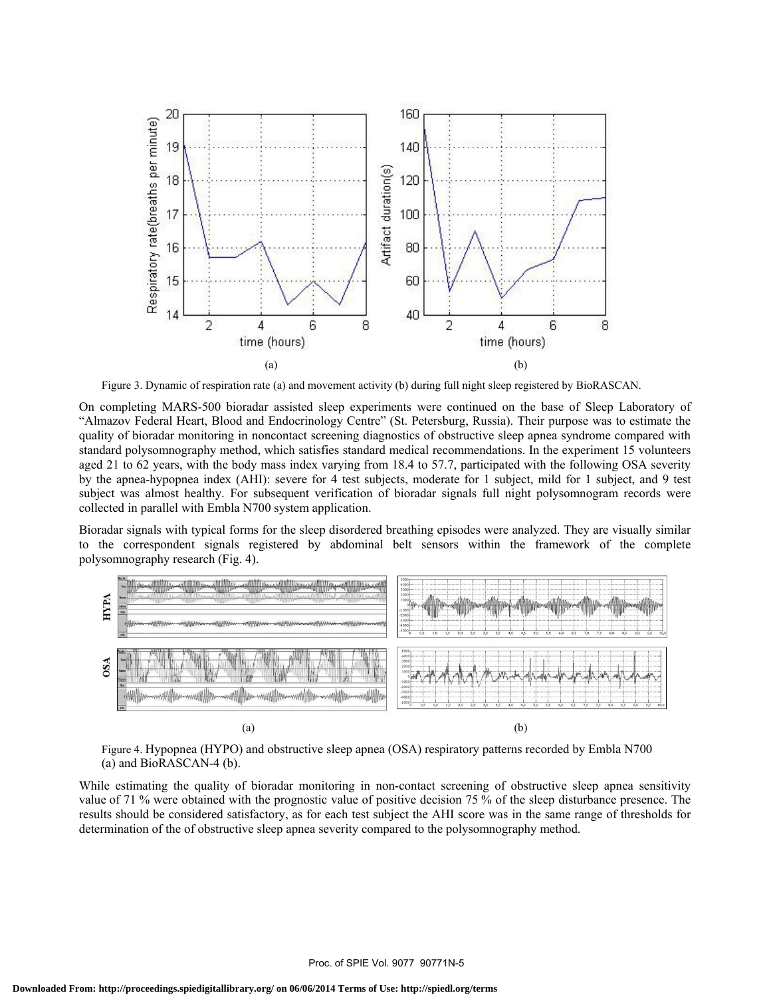

Figure 3. Dynamic of respiration rate (a) and movement activity (b) during full night sleep registered by BioRASCAN.

On completing MARS-500 bioradar assisted sleep experiments were continued on the base of Sleep Laboratory of "Almazov Federal Heart, Blood and Endocrinology Centre" (St. Petersburg, Russia). Their purpose was to estimate the quality of bioradar monitoring in noncontact screening diagnostics of obstructive sleep apnea syndrome compared with standard polysomnography method, which satisfies standard medical recommendations. In the experiment 15 volunteers aged 21 to 62 years, with the body mass index varying from 18.4 to 57.7, participated with the following OSA severity by the apnea-hypopnea index (AHI): severe for 4 test subjects, moderate for 1 subject, mild for 1 subject, and 9 test subject was almost healthy. For subsequent verification of bioradar signals full night polysomnogram records were collected in parallel with Embla N700 system application.

Bioradar signals with typical forms for the sleep disordered breathing episodes were analyzed. They are visually similar to the correspondent signals registered by abdominal belt sensors within the framework of the complete polysomnography research (Fig. 4).



Figure 4. Hypopnea (HYPO) and obstructive sleep apnea (OSA) respiratory patterns recorded by Embla N700 (a) and BioRASCAN-4 (b).

While estimating the quality of bioradar monitoring in non-contact screening of obstructive sleep apnea sensitivity value of 71 % were obtained with the prognostic value of positive decision 75 % of the sleep disturbance presence. The results should be considered satisfactory, as for each test subject the AHI score was in the same range of thresholds for determination of the of obstructive sleep apnea severity compared to the polysomnography method.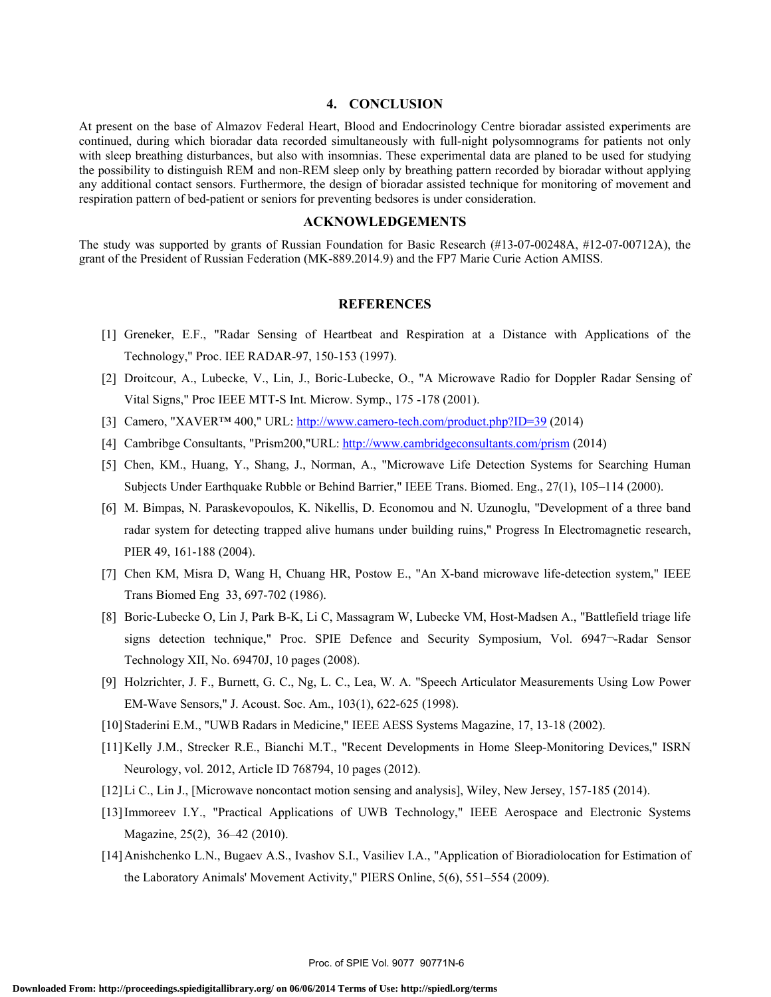## **4. CONCLUSION**

At present on the base of Almazov Federal Heart, Blood and Endocrinology Centre bioradar assisted experiments are continued, during which bioradar data recorded simultaneously with full-night polysomnograms for patients not only with sleep breathing disturbances, but also with insomnias. These experimental data are planed to be used for studying the possibility to distinguish REM and non-REM sleep only by breathing pattern recorded by bioradar without applying any additional contact sensors. Furthermore, the design of bioradar assisted technique for monitoring of movement and respiration pattern of bed-patient or seniors for preventing bedsores is under consideration.

#### **ACKNOWLEDGEMENTS**

The study was supported by grants of Russian Foundation for Basic Research (#13-07-00248A, #12-07-00712A), the grant of the President of Russian Federation (MK-889.2014.9) and the FP7 Marie Curie Action AMISS.

## **REFERENCES**

- [1] Greneker, E.F., "Radar Sensing of Heartbeat and Respiration at a Distance with Applications of the Technology," Proc. IEE RADAR-97, 150-153 (1997).
- [2] Droitcour, A., Lubecke, V., Lin, J., Boric-Lubecke, O., "A Microwave Radio for Doppler Radar Sensing of Vital Signs," Proc IEEE MTT-S Int. Microw. Symp., 175 -178 (2001).
- [3] Camero, "XAVER™ 400," URL: http://www.camero-tech.com/product.php?ID=39 (2014)
- [4] Cambribge Consultants, "Prism200,"URL: http://www.cambridgeconsultants.com/prism (2014)
- [5] Chen, KM., Huang, Y., Shang, J., Norman, A., "Microwave Life Detection Systems for Searching Human Subjects Under Earthquake Rubble or Behind Barrier," IEEE Trans. Biomed. Eng., 27(1), 105–114 (2000).
- [6] M. Bimpas, N. Paraskevopoulos, K. Nikellis, D. Economou and N. Uzunoglu, "Development of a three band radar system for detecting trapped alive humans under building ruins," Progress In Electromagnetic research, PIER 49, 161-188 (2004).
- [7] Chen KM, Misra D, Wang H, Chuang HR, Postow E., "An X-band microwave life-detection system," IEEE Trans Biomed Eng 33, 697-702 (1986).
- [8] Boric-Lubecke O, Lin J, Park B-K, Li C, Massagram W, Lubecke VM, Host-Madsen A., "Battlefield triage life signs detection technique," Proc. SPIE Defence and Security Symposium, Vol. 6947¬-Radar Sensor Technology XII, No. 69470J, 10 pages (2008).
- [9] Holzrichter, J. F., Burnett, G. C., Ng, L. C., Lea, W. A. "Speech Articulator Measurements Using Low Power EM-Wave Sensors," J. Acoust. Soc. Am., 103(1), 622-625 (1998).
- [10]Staderini E.M., "UWB Radars in Medicine," IEEE AESS Systems Magazine, 17, 13-18 (2002).
- [11]Kelly J.M., Strecker R.E., Bianchi M.T., "Recent Developments in Home Sleep-Monitoring Devices," ISRN Neurology, vol. 2012, Article ID 768794, 10 pages (2012).
- [12]Li C., Lin J., [Microwave noncontact motion sensing and analysis], Wiley, New Jersey, 157-185 (2014).
- [13]Immoreev I.Y., "Practical Applications of UWB Technology," IEEE Aerospace and Electronic Systems Magazine, 25(2), 36–42 (2010).
- [14]Anishchenko L.N., Bugaev A.S., Ivashov S.I., Vasiliev I.A., "Application of Bioradiolocation for Estimation of the Laboratory Animals' Movement Activity," PIERS Online, 5(6), 551–554 (2009).